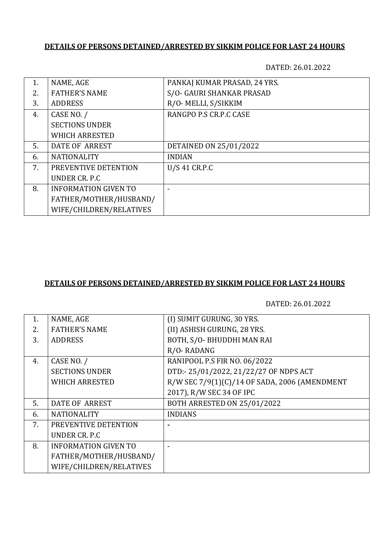#### **DETAILS OF PERSONS DETAINED/ARRESTED BY SIKKIM POLICE FOR LAST 24 HOURS**

DATED: 26.01.2022

| 1. | NAME, AGE                   | PANKAJ KUMAR PRASAD, 24 YRS. |
|----|-----------------------------|------------------------------|
| 2. | <b>FATHER'S NAME</b>        | S/O- GAURI SHANKAR PRASAD    |
| 3. | <b>ADDRESS</b>              | R/O- MELLI, S/SIKKIM         |
| 4. | CASE NO. /                  | RANGPO P.S CR.P.C CASE       |
|    | <b>SECTIONS UNDER</b>       |                              |
|    | <b>WHICH ARRESTED</b>       |                              |
| 5. | DATE OF ARREST              | DETAINED ON 25/01/2022       |
| 6. | <b>NATIONALITY</b>          | <b>INDIAN</b>                |
| 7. | PREVENTIVE DETENTION        | U/S 41 CR.P.C                |
|    | UNDER CR. P.C.              |                              |
| 8. | <b>INFORMATION GIVEN TO</b> |                              |
|    | FATHER/MOTHER/HUSBAND/      |                              |
|    | WIFE/CHILDREN/RELATIVES     |                              |

### **DETAILS OF PERSONS DETAINED/ARRESTED BY SIKKIM POLICE FOR LAST 24 HOURS**

DATED: 26.01.2022

| 1. | NAME, AGE                   | (I) SUMIT GURUNG, 30 YRS.                     |
|----|-----------------------------|-----------------------------------------------|
| 2. | <b>FATHER'S NAME</b>        | (II) ASHISH GURUNG, 28 YRS.                   |
| 3. | <b>ADDRESS</b>              | BOTH, S/O- BHUDDHI MAN RAI                    |
|    |                             | R/O-RADANG                                    |
| 4. | CASE NO. /                  | RANIPOOL P.S FIR NO. 06/2022                  |
|    | <b>SECTIONS UNDER</b>       | DTD:-25/01/2022, 21/22/27 OF NDPS ACT         |
|    | <b>WHICH ARRESTED</b>       | R/W SEC 7/9(1)(C)/14 OF SADA, 2006 (AMENDMENT |
|    |                             | 2017), R/W SEC 34 OF IPC                      |
| 5. | <b>DATE OF ARREST</b>       | <b>BOTH ARRESTED ON 25/01/2022</b>            |
| 6. | <b>NATIONALITY</b>          | <b>INDIANS</b>                                |
| 7. | PREVENTIVE DETENTION        |                                               |
|    | UNDER CR. P.C.              |                                               |
| 8. | <b>INFORMATION GIVEN TO</b> |                                               |
|    | FATHER/MOTHER/HUSBAND/      |                                               |
|    | WIFE/CHILDREN/RELATIVES     |                                               |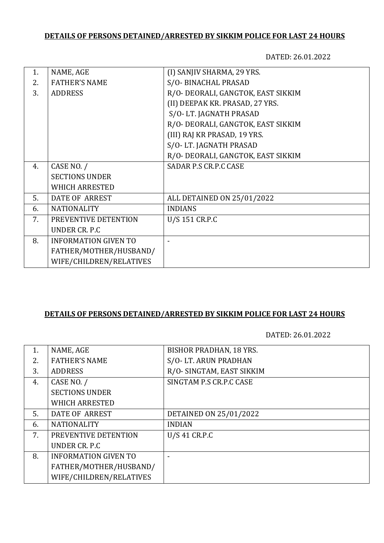# **DETAILS OF PERSONS DETAINED/ARRESTED BY SIKKIM POLICE FOR LAST 24 HOURS**

DATED: 26.01.2022

| 1. | NAME, AGE                   | (I) SANJIV SHARMA, 29 YRS.         |
|----|-----------------------------|------------------------------------|
| 2. | <b>FATHER'S NAME</b>        | S/O- BINACHAL PRASAD               |
|    |                             |                                    |
| 3. | <b>ADDRESS</b>              | R/O- DEORALI, GANGTOK, EAST SIKKIM |
|    |                             | (II) DEEPAK KR. PRASAD, 27 YRS.    |
|    |                             | S/O-LT. JAGNATH PRASAD             |
|    |                             | R/O- DEORALI, GANGTOK, EAST SIKKIM |
|    |                             | (III) RAJ KR PRASAD, 19 YRS.       |
|    |                             | S/O-LT. JAGNATH PRASAD             |
|    |                             | R/O- DEORALI, GANGTOK, EAST SIKKIM |
| 4. | CASE NO. /                  | SADAR P.S CR.P.C CASE              |
|    | <b>SECTIONS UNDER</b>       |                                    |
|    | <b>WHICH ARRESTED</b>       |                                    |
| 5. | <b>DATE OF ARREST</b>       | ALL DETAINED ON 25/01/2022         |
| 6. | <b>NATIONALITY</b>          | <b>INDIANS</b>                     |
| 7. | PREVENTIVE DETENTION        | U/S 151 CR.P.C                     |
|    | UNDER CR. P.C               |                                    |
| 8. | <b>INFORMATION GIVEN TO</b> |                                    |
|    | FATHER/MOTHER/HUSBAND/      |                                    |
|    | WIFE/CHILDREN/RELATIVES     |                                    |

### **DETAILS OF PERSONS DETAINED/ARRESTED BY SIKKIM POLICE FOR LAST 24 HOURS**

DATED: 26.01.2022

| 1. | NAME, AGE                   | <b>BISHOR PRADHAN, 18 YRS.</b> |
|----|-----------------------------|--------------------------------|
|    |                             |                                |
| 2. | <b>FATHER'S NAME</b>        | S/O-LT. ARUN PRADHAN           |
| 3. | <b>ADDRESS</b>              | R/O- SINGTAM, EAST SIKKIM      |
| 4. | CASE NO. /                  | SINGTAM P.S CR.P.C CASE        |
|    | <b>SECTIONS UNDER</b>       |                                |
|    | <b>WHICH ARRESTED</b>       |                                |
| 5. | DATE OF ARREST              | DETAINED ON 25/01/2022         |
| 6. | <b>NATIONALITY</b>          | <b>INDIAN</b>                  |
| 7. | PREVENTIVE DETENTION        | U/S 41 CR.P.C                  |
|    | UNDER CR. P.C               |                                |
| 8. | <b>INFORMATION GIVEN TO</b> |                                |
|    | FATHER/MOTHER/HUSBAND/      |                                |
|    | WIFE/CHILDREN/RELATIVES     |                                |